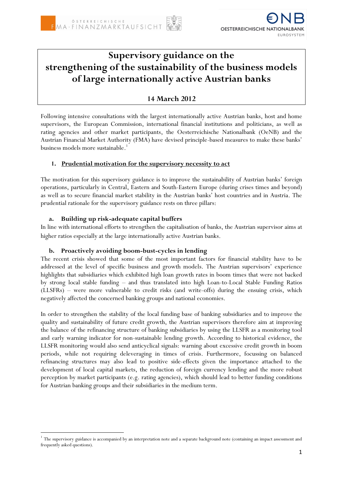

# **Supervisory guidance on the strengthening of the sustainability of the business models of large internationally active Austrian banks**

# **14 March 2012**

Following intensive consultations with the largest internationally active Austrian banks, host and home supervisors, the European Commission, international financial institutions and politicians, as well as rating agencies and other market participants, the Oesterreichische Nationalbank (OeNB) and the Austrian Financial Market Authority (FMA) have devised principle-based measures to make these banks' business models more sustainable. 1

## **1. Prudential motivation for the supervisory necessity to act**

The motivation for this supervisory guidance is to improve the sustainability of Austrian banks' foreign operations, particularly in Central, Eastern and South-Eastern Europe (during crises times and beyond) as well as to secure financial market stability in the Austrian banks' host countries and in Austria. The prudential rationale for the supervisory guidance rests on three pillars:

## **a. Building up risk-adequate capital buffers**

1

In line with international efforts to strengthen the capitalisation of banks, the Austrian supervisor aims at higher ratios especially at the large internationally active Austrian banks.

## **b. Proactively avoiding boom-bust-cycles in lending**

The recent crisis showed that some of the most important factors for financial stability have to be addressed at the level of specific business and growth models. The Austrian supervisors' experience highlights that subsidiaries which exhibited high loan growth rates in boom times that were not backed by strong local stable funding – and thus translated into high Loan-to-Local Stable Funding Ratios (LLSFRs) – were more vulnerable to credit risks (and write-offs) during the ensuing crisis, which negatively affected the concerned banking groups and national economies.

In order to strengthen the stability of the local funding base of banking subsidiaries and to improve the quality and sustainability of future credit growth, the Austrian supervisors therefore aim at improving the balance of the refinancing structure of banking subsidiaries by using the LLSFR as a monitoring tool and early warning indicator for non-sustainable lending growth. According to historical evidence, the LLSFR monitoring would also send anticyclical signals: warning about excessive credit growth in boom periods, while not requiring deleveraging in times of crisis. Furthermore, focussing on balanced refinancing structures may also lead to positive side-effects given the importance attached to the development of local capital markets, the reduction of foreign currency lending and the more robust perception by market participants (e.g. rating agencies), which should lead to better funding conditions for Austrian banking groups and their subsidiaries in the medium term.

<sup>&</sup>lt;sup>1</sup> The supervisory guidance is accompanied by an interpretation note and a separate background note (containing an impact assessment and frequently asked questions).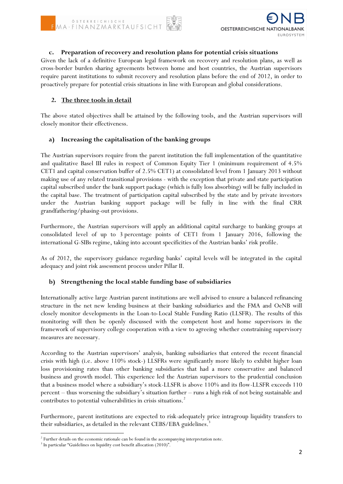

## **c. Preparation of recovery and resolution plans for potential crisis situations**

Given the lack of a definitive European legal framework on recovery and resolution plans, as well as cross-border burden sharing agreements between home and host countries, the Austrian supervisors require parent institutions to submit recovery and resolution plans before the end of 2012, in order to proactively prepare for potential crisis situations in line with European and global considerations.

## **2. The three tools in detail**

The above stated objectives shall be attained by the following tools, and the Austrian supervisors will closely monitor their effectiveness.

## **a) Increasing the capitalisation of the banking groups**

The Austrian supervisors require from the parent institution the full implementation of the quantitative and qualitative Basel III rules in respect of Common Equity Tier 1 (minimum requirement of 4.5% CET1 and capital conservation buffer of 2.5% CET1) at consolidated level from 1 January 2013 without making use of any related transitional provisions - with the exception that private and state participation capital subscribed under the bank support package (which is fully loss absorbing) will be fully included in the capital base. The treatment of participation capital subscribed by the state and by private investors under the Austrian banking support package will be fully in line with the final CRR grandfathering/phasing-out provisions.

Furthermore, the Austrian supervisors will apply an additional capital surcharge to banking groups at consolidated level of up to 3 percentage points of CET1 from 1 January 2016, following the international G-SIBs regime, taking into account specificities of the Austrian banks' risk profile.

As of 2012, the supervisory guidance regarding banks' capital levels will be integrated in the capital adequacy and joint risk assessment process under Pillar II.

#### **b) Strengthening the local stable funding base of subsidiaries**

Internationally active large Austrian parent institutions are well advised to ensure a balanced refinancing structure in the net new lending business at their banking subsidiaries and the FMA and OeNB will closely monitor developments in the Loan-to-Local Stable Funding Ratio (LLSFR). The results of this monitoring will then be openly discussed with the competent host and home supervisors in the framework of supervisory college cooperation with a view to agreeing whether constraining supervisory measures are necessary.

According to the Austrian supervisors' analysis, banking subsidiaries that entered the recent financial crisis with high (i.e. above 110% stock-) LLSFRs were significantly more likely to exhibit higher loan loss provisioning rates than other banking subsidiaries that had a more conservative and balanced business and growth model. This experience led the Austrian supervisors to the prudential conclusion that a business model where a subsidiary's stock-LLSFR is above 110% and its flow-LLSFR exceeds 110 percent – thus worsening the subsidiary's situation further – runs a high risk of not being sustainable and contributes to potential vulnerabilities in crisis situations.<sup>2</sup>

Furthermore, parent institutions are expected to risk-adequately price intragroup liquidity transfers to their subsidiaries, as detailed in the relevant CEBS/EBA guidelines.<sup>3</sup>

<sup>1</sup> <sup>2</sup> Further details on the economic rationale can be found in the accompanying interpretation note.

<sup>&</sup>lt;sup>3</sup> In particular "Guidelines on liquidity cost benefit allocation (2010)".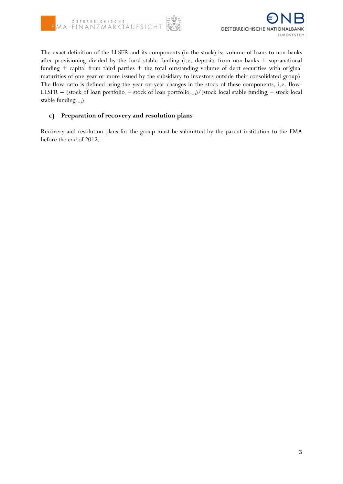



The exact definition of the LLSFR and its components (in the stock) is: volume of loans to non-banks after provisioning divided by the local stable funding (i.e. deposits from non-banks + supranational funding + capital from third parties + the total outstanding volume of debt securities with original maturities of one year or more issued by the subsidiary to investors outside their consolidated group). The flow ratio is defined using the year-on-year changes in the stock of these components, i.e. flow-LLSFR = (stock of loan portfolio<sub>t</sub> – stock of loan portfolio<sub>(t-1)</sub>)/(stock local stable funding<sub>t</sub> – stock local stable funding*(t-1)*).

#### **c) Preparation of recovery and resolution plans**

Recovery and resolution plans for the group must be submitted by the parent institution to the FMA before the end of 2012.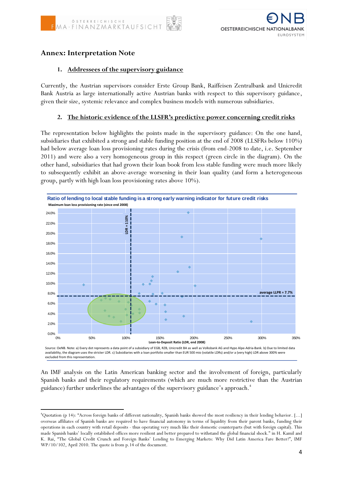

# **Annex: Interpretation Note**

#### **1. Addressees of the supervisory guidance**

Currently, the Austrian supervisors consider Erste Group Bank, Raiffeisen Zentralbank and Unicredit Bank Austria as large internationally active Austrian banks with respect to this supervisory guidance, given their size, systemic relevance and complex business models with numerous subsidiaries.

#### **2. The historic evidence of the LLSFR's predictive power concerning credit risks**

The representation below highlights the points made in the supervisory guidance: On the one hand, subsidiaries that exhibited a strong and stable funding position at the end of 2008 (LLSFRs below 110%) had below average loan loss provisioning rates during the crisis (from end-2008 to date, i.e. September 2011) and were also a very homogeneous group in this respect (green circle in the diagram). On the other hand, subsidiaries that had grown their loan book from less stable funding were much more likely to subsequently exhibit an above-average worsening in their loan quality (and form a heterogeneous group, partly with high loan loss provisioning rates above 10%).



Source: OeNB. Note: a) Every dot represents a data point of a subsidiary of EGB, RZB, Unicredit BA as well as Volksbank AG and Hypo Alpe-Adria-Bank. b) Due to limited data availability, the diagram uses the stricter LDR. c) Subsidiaries with a loan portfolio smaller than EUR 500 mio (volatile LDRs) and/or a (very high) LDR above 300% were

An IMF analysis on the Latin American banking sector and the involvement of foreign, particularly Spanish banks and their regulatory requirements (which are much more restrictive than the Austrian guidance) further underlines the advantages of the supervisory guidance's approach. 4

<sup>1</sup> <sup>4</sup>Quotation (p 14): "Across foreign banks of different nationality, Spanish banks showed the most resiliency in their lending behavior. […] overseas affiliates of Spanish banks are required to have financial autonomy in terms of liquidity from their parent banks, funding their operations in each country with retail deposits - thus operating very much like their domestic counterparts (but with foreign capital). This made Spanish banks' locally established offices more resilient and better prepared to withstand the global financial shock." in H. Kamil and K. Rai, "The Global Credit Crunch and Foreign Banks' Lending to Emerging Markets: Why Did Latin America Fare Better?", IMF WP/10/102, April 2010. The quote is from p.14 of the document.